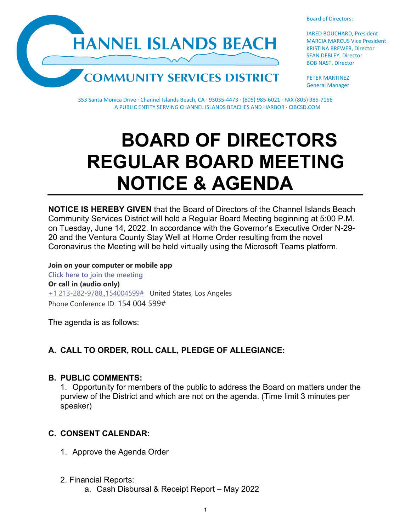



JARED BOUCHARD, President MARCIA MARCUS Vice President KRISTINA BREWER, Director SEAN DEBLEY, Director BOB NAST, Director

PETER MARTINEZ General Manager

353 Santa Monica Drive · Channel Islands Beach, CA · 93035-4473 · (805) 985-6021 · FAX (805) 985-7156 A PUBLIC ENTITY SERVING CHANNEL ISLANDS BEACHES AND HARBOR · CIBCSD.COM

# **BOARD OF DIRECTORS REGULAR BOARD MEETING NOTICE & AGENDA**

**NOTICE IS HEREBY GIVEN** that the Board of Directors of the Channel Islands Beach Community Services District will hold a Regular Board Meeting beginning at 5:00 P.M. on Tuesday, June 14, 2022. In accordance with the Governor's Executive Order N-29- 20 and the Ventura County Stay Well at Home Order resulting from the novel Coronavirus the Meeting will be held virtually using the Microsoft Teams platform.

**Join on your computer or mobile app [Click here to join the meeting](https://teams.microsoft.com/l/meetup-join/19%3ameeting_YzBlMWUxYTgtNDJmNS00NTg1LTlkZDUtNTkyM2RjY2E0NDgz%40thread.v2/0?context=%7b%22Tid%22%3a%22f7fe391d-f807-4915-a885-600f7b21c060%22%2c%22Oid%22%3a%22a1ff9a26-d5c6-43de-8ae2-ea53c9efed90%22%7d) Or call in (audio only)** [+1 213-282-9788,,154004599#](tel:+12132829788,,154004599#%20) United States, Los Angeles Phone Conference ID: 154 004 599#

The agenda is as follows:

# **A. CALL TO ORDER, ROLL CALL, PLEDGE OF ALLEGIANCE:**

### **B. PUBLIC COMMENTS:**

1. Opportunity for members of the public to address the Board on matters under the purview of the District and which are not on the agenda. (Time limit 3 minutes per speaker)

# **C. CONSENT CALENDAR:**

- 1. Approve the Agenda Order
- 2. Financial Reports:
	- a. Cash Disbursal & Receipt Report May 2022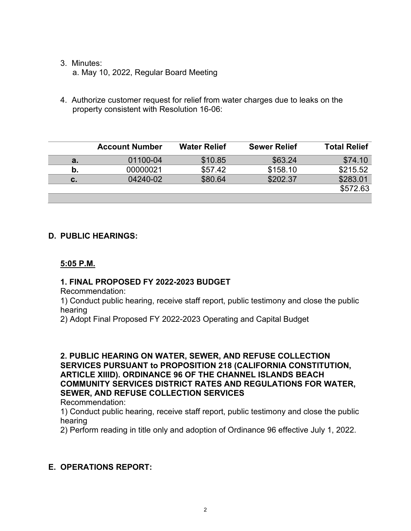# 3. Minutes:

a. May 10, 2022, Regular Board Meeting

4. Authorize customer request for relief from water charges due to leaks on the property consistent with Resolution 16-06:

|    | <b>Account Number</b> | <b>Water Relief</b> | <b>Sewer Relief</b> | <b>Total Relief</b> |
|----|-----------------------|---------------------|---------------------|---------------------|
| а. | 01100-04              | \$10.85             | \$63.24             | \$74.10             |
| b. | 00000021              | \$57.42             | \$158.10            | \$215.52            |
| с. | 04240-02              | \$80.64             | \$202.37            | \$283.01            |
|    |                       |                     |                     | \$572.63            |
|    |                       |                     |                     |                     |

# **D. PUBLIC HEARINGS:**

# **5:05 P.M.**

# **1. FINAL PROPOSED FY 2022-2023 BUDGET**

Recommendation:

1) Conduct public hearing, receive staff report, public testimony and close the public hearing

2) Adopt Final Proposed FY 2022-2023 Operating and Capital Budget

# **2. PUBLIC HEARING ON WATER, SEWER, AND REFUSE COLLECTION SERVICES PURSUANT to PROPOSITION 218 (CALIFORNIA CONSTITUTION, ARTICLE XIIID). ORDINANCE 96 OF THE CHANNEL ISLANDS BEACH COMMUNITY SERVICES DISTRICT RATES AND REGULATIONS FOR WATER, SEWER, AND REFUSE COLLECTION SERVICES**

Recommendation:

1) Conduct public hearing, receive staff report, public testimony and close the public hearing

2) Perform reading in title only and adoption of Ordinance 96 effective July 1, 2022.

# **E. OPERATIONS REPORT:**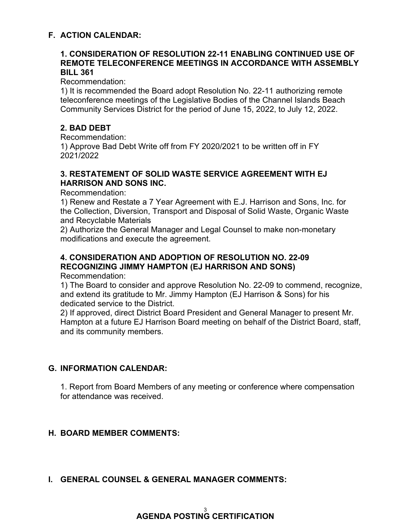# **F. ACTION CALENDAR:**

#### **1. CONSIDERATION OF RESOLUTION 22-11 ENABLING CONTINUED USE OF REMOTE TELECONFERENCE MEETINGS IN ACCORDANCE WITH ASSEMBLY BILL 361**

Recommendation:

1) It is recommended the Board adopt Resolution No. 22-11 authorizing remote teleconference meetings of the Legislative Bodies of the Channel Islands Beach Community Services District for the period of June 15, 2022, to July 12, 2022.

# **2. BAD DEBT**

Recommendation:

1) Approve Bad Debt Write off from FY 2020/2021 to be written off in FY 2021/2022

### **3. RESTATEMENT OF SOLID WASTE SERVICE AGREEMENT WITH EJ HARRISON AND SONS INC.**

Recommendation:

1) Renew and Restate a 7 Year Agreement with E.J. Harrison and Sons, Inc. for the Collection, Diversion, Transport and Disposal of Solid Waste, Organic Waste and Recyclable Materials

2) Authorize the General Manager and Legal Counsel to make non-monetary modifications and execute the agreement.

# **4. CONSIDERATION AND ADOPTION OF RESOLUTION NO. 22-09 RECOGNIZING JIMMY HAMPTON (EJ HARRISON AND SONS)**

Recommendation:

1) The Board to consider and approve Resolution No. 22-09 to commend, recognize, and extend its gratitude to Mr. Jimmy Hampton (EJ Harrison & Sons) for his dedicated service to the District.

2) If approved, direct District Board President and General Manager to present Mr. Hampton at a future EJ Harrison Board meeting on behalf of the District Board, staff, and its community members.

# **G. INFORMATION CALENDAR:**

1. Report from Board Members of any meeting or conference where compensation for attendance was received.

### **H. BOARD MEMBER COMMENTS:**

# **I. GENERAL COUNSEL & GENERAL MANAGER COMMENTS:**